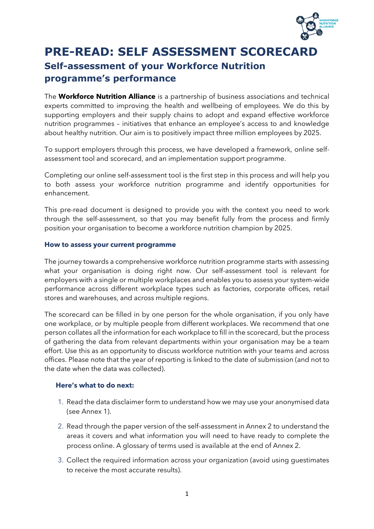

## **PRE-READ: SELF ASSESSMENT SCORECARD Self-assessment of your Workforce Nutrition programme's performance**

The **Workforce Nutrition Alliance** is a partnership of business associations and technical experts committed to improving the health and wellbeing of employees. We do this by supporting employers and their supply chains to adopt and expand effective workforce nutrition programmes – initiatives that enhance an employee's access to and knowledge about healthy nutrition. Our aim is to positively impact three million employees by 2025.

To support employers through this process, we have developed a framework, online selfassessment tool and scorecard, and an implementation support programme.

Completing our online self-assessment tool is the first step in this process and will help you to both assess your workforce nutrition programme and identify opportunities for enhancement.

This pre-read document is designed to provide you with the context you need to work through the self-assessment, so that you may benefit fully from the process and firmly position your organisation to become a workforce nutrition champion by 2025.

## **How to assess your current programme**

The journey towards a comprehensive workforce nutrition programme starts with assessing what your organisation is doing right now. Our self-assessment tool is relevant for employers with a single or multiple workplaces and enables you to assess your system-wide performance across different workplace types such as factories, corporate offices, retail stores and warehouses, and across multiple regions.

The scorecard can be filled in by one person for the whole organisation, if you only have one workplace, or by multiple people from different workplaces. We recommend that one person collates all the information for each workplace to fill in the scorecard, but the process of gathering the data from relevant departments within your organisation may be a team effort. Use this as an opportunity to discuss workforce nutrition with your teams and across offices. Please note that the year of reporting is linked to the date of submission (and not to the date when the data was collected).

## **Here's what to do next:**

- 1. Read the data disclaimer form to understand how we may use your anonymised data (see Annex 1).
- 2. Read through the paper version of the self-assessment in Annex 2 to understand the areas it covers and what information you will need to have ready to complete the process online. A glossary of terms used is available at the end of Annex 2.
- 3. Collect the required information across your organization (avoid using guestimates to receive the most accurate results).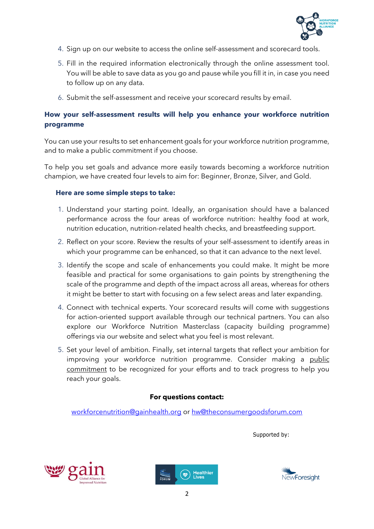

- 4. Sign up on our website to access the online self-assessment and scorecard tools.
- 5. Fill in the required information electronically through the online assessment tool. You will be able to save data as you go and pause while you fill it in, in case you need to follow up on any data.
- 6. Submit the self-assessment and receive your scorecard results by email.

## **How your self-assessment results will help you enhance your workforce nutrition programme**

You can use your results to set enhancement goals for your workforce nutrition programme, and to make a public commitment if you choose.

To help you set goals and advance more easily towards becoming a workforce nutrition champion, we have created four levels to aim for: Beginner, Bronze, Silver, and Gold.

## **Here are some simple steps to take:**

- 1. Understand your starting point. Ideally, an organisation should have a balanced performance across the four areas of workforce nutrition: healthy food at work, nutrition education, nutrition-related health checks, and breastfeeding support.
- 2. Reflect on your score. Review the results of your self-assessment to identify areas in which your programme can be enhanced, so that it can advance to the next level.
- 3. Identify the scope and scale of enhancements you could make. It might be more feasible and practical for some organisations to gain points by strengthening the scale of the programme and depth of the impact across all areas, whereas for others it might be better to start with focusing on a few select areas and later expanding.
- 4. Connect with technical experts. Your scorecard results will come with suggestions for action-oriented support available through our technical partners. You can also explore our Workforce Nutrition Masterclass (capacity building programme) offerings via our website and select what you feel is most relevant.
- 5. Set your level of ambition. Finally, set internal targets that reflect your ambition for improving your workforce nutrition programme. Consider making a public [commitment](https://globalnutritionreport.org/resources/naf/platform-guide/) to be recognized for your efforts and to track progress to help you reach your goals.

## **For questions contact:**

[workforcenutrition@gainhealth.org](mailto:workforcenutrition@gainhealth.org) or [hw@theconsumergoodsforum.com](mailto:hw@theconsumergoodsforum.com)

Supported by:





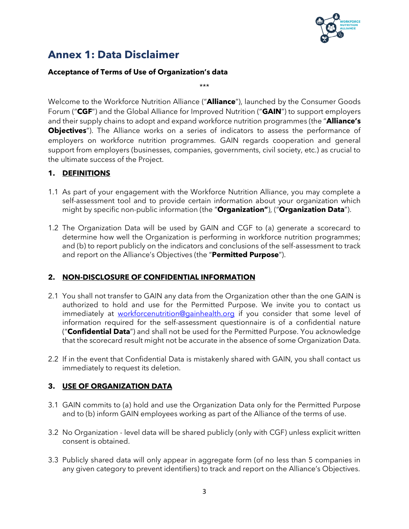

## **Annex 1: Data Disclaimer**

## **Acceptance of Terms of Use of Organization's data**

\*\*\*

Welcome to the Workforce Nutrition Alliance ("**Alliance**"), launched by the Consumer Goods Forum ("**CGF**") and the Global Alliance for Improved Nutrition ("**GAIN**") to support employers and their supply chains to adopt and expand workforce nutrition programmes (the "**Alliance's Objectives**"). The Alliance works on a series of indicators to assess the performance of employers on workforce nutrition programmes. GAIN regards cooperation and general support from employers (businesses, companies, governments, civil society, etc.) as crucial to the ultimate success of the Project.

## **1. DEFINITIONS**

- 1.1 As part of your engagement with the Workforce Nutrition Alliance, you may complete a self-assessment tool and to provide certain information about your organization which might by specific non-public information (the "**Organization"**), ("**Organization Data**").
- 1.2 The Organization Data will be used by GAIN and CGF to (a) generate a scorecard to determine how well the Organization is performing in workforce nutrition programmes; and (b) to report publicly on the indicators and conclusions of the self-assessment to track and report on the Alliance's Objectives (the "**Permitted Purpose**").

## **2. NON-DISCLOSURE OF CONFIDENTIAL INFORMATION**

- 2.1 You shall not transfer to GAIN any data from the Organization other than the one GAIN is authorized to hold and use for the Permitted Purpose. We invite you to contact us immediately at [workforcenutrition@gainhealth.org](mailto:workforcenutrition@gainhealth.org) if you consider that some level of information required for the self-assessment questionnaire is of a confidential nature ("**Confidential Data**") and shall not be used for the Permitted Purpose. You acknowledge that the scorecard result might not be accurate in the absence of some Organization Data.
- 2.2 If in the event that Confidential Data is mistakenly shared with GAIN, you shall contact us immediately to request its deletion.

## **3. USE OF ORGANIZATION DATA**

- 3.1 GAIN commits to (a) hold and use the Organization Data only for the Permitted Purpose and to (b) inform GAIN employees working as part of the Alliance of the terms of use.
- 3.2 No Organization level data will be shared publicly (only with CGF) unless explicit written consent is obtained.
- 3.3 Publicly shared data will only appear in aggregate form (of no less than 5 companies in any given category to prevent identifiers) to track and report on the Alliance's Objectives.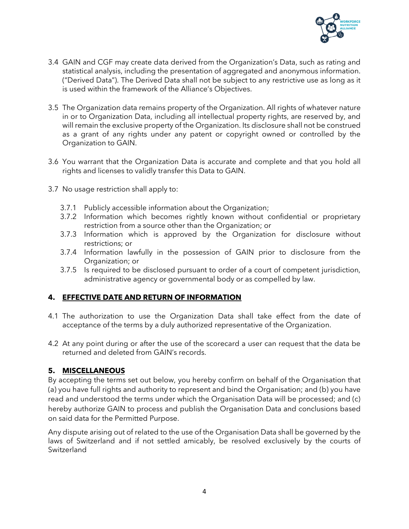

- 3.4 GAIN and CGF may create data derived from the Organization's Data, such as rating and statistical analysis, including the presentation of aggregated and anonymous information. ("Derived Data"). The Derived Data shall not be subject to any restrictive use as long as it is used within the framework of the Alliance's Objectives.
- 3.5 The Organization data remains property of the Organization. All rights of whatever nature in or to Organization Data, including all intellectual property rights, are reserved by, and will remain the exclusive property of the Organization. Its disclosure shall not be construed as a grant of any rights under any patent or copyright owned or controlled by the Organization to GAIN.
- 3.6 You warrant that the Organization Data is accurate and complete and that you hold all rights and licenses to validly transfer this Data to GAIN.
- 3.7 No usage restriction shall apply to:
	- 3.7.1 Publicly accessible information about the Organization;
	- 3.7.2 Information which becomes rightly known without confidential or proprietary restriction from a source other than the Organization; or
	- 3.7.3 Information which is approved by the Organization for disclosure without restrictions; or
	- 3.7.4 Information lawfully in the possession of GAIN prior to disclosure from the Organization; or
	- 3.7.5 Is required to be disclosed pursuant to order of a court of competent jurisdiction, administrative agency or governmental body or as compelled by law.

## **4. EFFECTIVE DATE AND RETURN OF INFORMATION**

- 4.1 The authorization to use the Organization Data shall take effect from the date of acceptance of the terms by a duly authorized representative of the Organization.
- 4.2 At any point during or after the use of the scorecard a user can request that the data be returned and deleted from GAIN's records.

## **5. MISCELLANEOUS**

By accepting the terms set out below, you hereby confirm on behalf of the Organisation that (a) you have full rights and authority to represent and bind the Organisation; and (b) you have read and understood the terms under which the Organisation Data will be processed; and (c) hereby authorize GAIN to process and publish the Organisation Data and conclusions based on said data for the Permitted Purpose.

Any dispute arising out of related to the use of the Organisation Data shall be governed by the laws of Switzerland and if not settled amicably, be resolved exclusively by the courts of Switzerland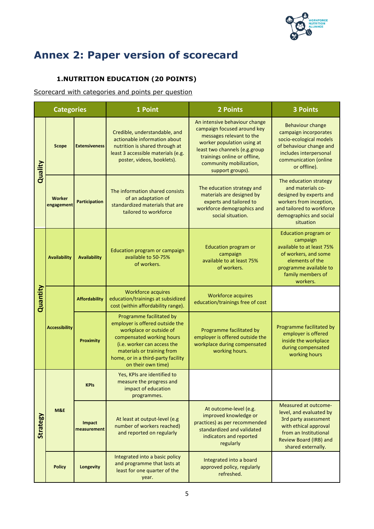

# **Annex 2: Paper version of scorecard**

## **1.NUTRITION EDUCATION (20 POINTS)**

Scorecard with categories and points per question

| <b>Categories</b> |                      |                                                                                                                                                                                                                                                                                                                                                                                                                                       | 1 Point                                                                                                                                                                                                                                      | 2 Points                                                                                                                                                                  | <b>3 Points</b>                                                                                                                                                            |
|-------------------|----------------------|---------------------------------------------------------------------------------------------------------------------------------------------------------------------------------------------------------------------------------------------------------------------------------------------------------------------------------------------------------------------------------------------------------------------------------------|----------------------------------------------------------------------------------------------------------------------------------------------------------------------------------------------------------------------------------------------|---------------------------------------------------------------------------------------------------------------------------------------------------------------------------|----------------------------------------------------------------------------------------------------------------------------------------------------------------------------|
| Quality           | <b>Scope</b>         | An intensive behaviour change<br>campaign focused around key<br>Credible, understandable, and<br>messages relevant to the<br>actionable information about<br>worker population using at<br>nutrition is shared through at<br><b>Extensiveness</b><br>least two channels (e.g.group<br>least 3 accessible materials (e.g.<br>trainings online or offline,<br>poster, videos, booklets).<br>community mobilization,<br>support groups). |                                                                                                                                                                                                                                              | <b>Behaviour change</b><br>campaign incorporates<br>socio-ecological models<br>of behaviour change and<br>includes interpersonal<br>communication (online<br>or offline). |                                                                                                                                                                            |
|                   | Worker<br>engagement | The education strategy and<br>The information shared consists<br>materials are designed by<br>of an adaptation of<br>experts and tailored to<br><b>Participation</b><br>standardized materials that are<br>workforce demographics and<br>tailored to workforce<br>social situation.                                                                                                                                                   |                                                                                                                                                                                                                                              | The education strategy<br>and materials co-<br>designed by experts and<br>workers from inception,<br>and tailored to workforce<br>demographics and social<br>situation    |                                                                                                                                                                            |
|                   | <b>Availability</b>  | <b>Availability</b>                                                                                                                                                                                                                                                                                                                                                                                                                   | Education program or campaign<br>available to 50-75%<br>of workers.                                                                                                                                                                          | <b>Education program or</b><br>campaign<br>available to at least 75%<br>of workers.                                                                                       | <b>Education program or</b><br>campaign<br>available to at least 75%<br>of workers, and some<br>elements of the<br>programme available to<br>family members of<br>workers. |
| Quantity          |                      | <b>Affordability</b>                                                                                                                                                                                                                                                                                                                                                                                                                  | <b>Workforce acquires</b><br>education/trainings at subsidized<br>cost (within affordability range).                                                                                                                                         | <b>Workforce acquires</b><br>education/trainings free of cost                                                                                                             |                                                                                                                                                                            |
|                   | <b>Accessibility</b> | <b>Proximity</b>                                                                                                                                                                                                                                                                                                                                                                                                                      | Programme facilitated by<br>employer is offered outside the<br>workplace or outside of<br>compensated working hours<br>(i.e. worker can access the<br>materials or training from<br>home, or in a third-party facility<br>on their own time) | Programme facilitated by<br>employer is offered outside the<br>workplace during compensated<br>working hours.                                                             | Programme facilitated by<br>employer is offered<br>inside the workplace<br>during compensated<br>working hours                                                             |
| Strategy          | <b>KPIs</b>          |                                                                                                                                                                                                                                                                                                                                                                                                                                       | Yes, KPIs are identified to<br>measure the progress and<br>impact of education<br>programmes.                                                                                                                                                |                                                                                                                                                                           |                                                                                                                                                                            |
|                   | <b>M&amp;E</b>       | <b>Impact</b><br>measurement                                                                                                                                                                                                                                                                                                                                                                                                          | At least at output-level (e.g<br>number of workers reached)<br>and reported on regularly                                                                                                                                                     | At outcome-level (e.g.<br>improved knowledge or<br>practices) as per recommended<br>standardized and validated<br>indicators and reported<br>regularly                    | Measured at outcome-<br>level, and evaluated by<br>3rd party assessment<br>with ethical approval<br>from an Institutional<br>Review Board (IRB) and<br>shared externally.  |
|                   | <b>Policy</b>        | Longevity                                                                                                                                                                                                                                                                                                                                                                                                                             | Integrated into a basic policy<br>and programme that lasts at<br>least for one quarter of the<br>year.                                                                                                                                       | Integrated into a board<br>approved policy, regularly<br>refreshed.                                                                                                       |                                                                                                                                                                            |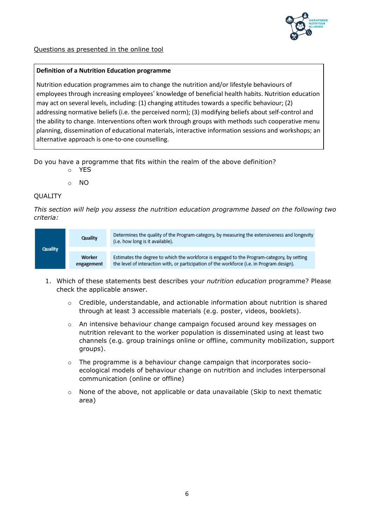

## Questions as presented in the online tool

#### **Definition of a Nutrition Education programme**

Nutrition education programmes aim to change the nutrition and/or lifestyle behaviours of employees through increasing employees' knowledge of beneficial health habits. Nutrition education may act on several levels, including: (1) changing attitudes towards a specific behaviour; (2) addressing normative beliefs (i.e. the perceived norm); (3) modifying beliefs about self-control and the ability to change. Interventions often work through groups with methods such cooperative menu planning, dissemination of educational materials, interactive information sessions and workshops; an alternative approach is one-to-one counselling.

Do you have a programme that fits within the realm of the above definition?

o YES

o NO

#### **OUALITY**

*This section will help you assess the nutrition education programme based on the following two criteria:*



- 1. Which of these statements best describes your *nutrition education* programme? Please check the applicable answer.
	- $\circ$  Credible, understandable, and actionable information about nutrition is shared through at least 3 accessible materials (e.g. poster, videos, booklets).
	- $\circ$  An intensive behaviour change campaign focused around key messages on nutrition relevant to the worker population is disseminated using at least two channels (e.g. group trainings online or offline, community mobilization, support groups).
	- $\circ$  The programme is a behaviour change campaign that incorporates socioecological models of behaviour change on nutrition and includes interpersonal communication (online or offline)
	- $\circ$  None of the above, not applicable or data unavailable (Skip to next thematic area)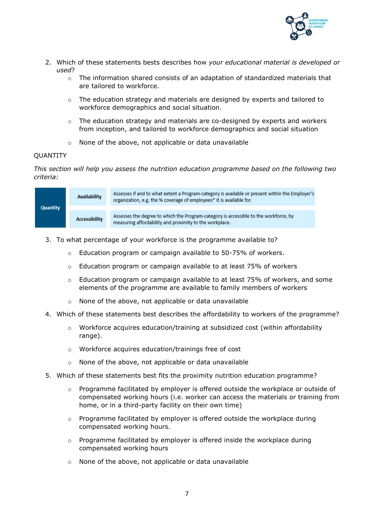

- 2. Which of these statements bests describes how *your educational material is developed or used*?
	- $\circ$  The information shared consists of an adaptation of standardized materials that are tailored to workforce.
	- o The education strategy and materials are designed by experts and tailored to workforce demographics and social situation.
	- o The education strategy and materials are co-designed by experts and workers from inception, and tailored to workforce demographics and social situation
	- o None of the above, not applicable or data unavailable

#### QUANTITY

*This section will help you assess the nutrition education programme based on the following two criteria:*

| <b>Quantity</b> | Availability  | Assesses if and to what extent a Program-category is available or present within the Employer's<br>organization, e.g. the % coverage of employees* it is available for. |
|-----------------|---------------|-------------------------------------------------------------------------------------------------------------------------------------------------------------------------|
|                 | Accessibility | Assesses the degree to which the Program-category is accessible to the workforce, by<br>measuring affordability and proximity to the workplace.                         |

- 3. To what percentage of your workforce is the programme available to?
	- o Education program or campaign available to 50-75% of workers.
	- $\circ$  Education program or campaign available to at least 75% of workers
	- o Education program or campaign available to at least 75% of workers, and some elements of the programme are available to family members of workers
	- o None of the above, not applicable or data unavailable
- 4. Which of these statements best describes the affordability to workers of the programme?
	- $\circ$  Workforce acquires education/training at subsidized cost (within affordability range).
	- o Workforce acquires education/trainings free of cost
	- o None of the above, not applicable or data unavailable
- 5. Which of these statements best fits the proximity nutrition education programme?
	- $\circ$  Programme facilitated by employer is offered outside the workplace or outside of compensated working hours (i.e. worker can access the materials or training from home, or in a third-party facility on their own time)
	- o Programme facilitated by employer is offered outside the workplace during compensated working hours.
	- o Programme facilitated by employer is offered inside the workplace during compensated working hours
	- o None of the above, not applicable or data unavailable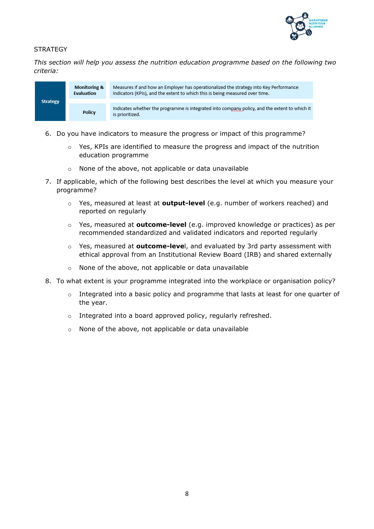

## **STRATEGY**

*This section will help you assess the nutrition education programme based on the following two criteria:*



- 6. Do you have indicators to measure the progress or impact of this programme?
	- $\circ$  Yes, KPIs are identified to measure the progress and impact of the nutrition education programme
	- None of the above, not applicable or data unavailable
- 7. If applicable, which of the following best describes the level at which you measure your programme?
	- o Yes, measured at least at **output-level** (e.g. number of workers reached) and reported on regularly
	- o Yes, measured at **outcome-level** (e.g. improved knowledge or practices) as per recommended standardized and validated indicators and reported regularly
	- o Yes, measured at **outcome-leve**l, and evaluated by 3rd party assessment with ethical approval from an Institutional Review Board (IRB) and shared externally
	- o None of the above, not applicable or data unavailable
- 8. To what extent is your programme integrated into the workplace or organisation policy?
	- $\circ$  Integrated into a basic policy and programme that lasts at least for one quarter of the year.
	- o Integrated into a board approved policy, regularly refreshed.
	- o None of the above, not applicable or data unavailable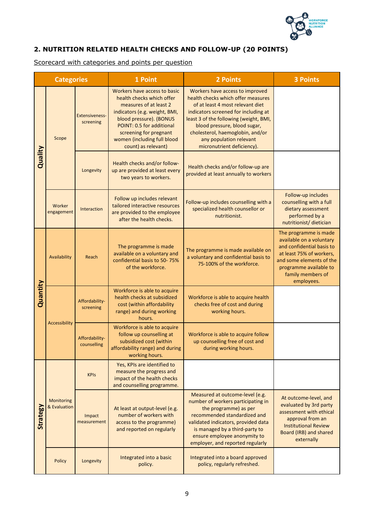

## **2. NUTRITION RELATED HEALTH CHECKS AND FOLLOW-UP (20 POINTS)**

Scorecard with categories and points per question

|                 | <b>Categories</b>                                                                                                                                                               |                                    | 1 Point                                                                                                                                                                                                                                                                     | 2 Points                                                                                                                                                                                                                                                                                                                 | <b>3 Points</b>                                                                                                                                                                                     |
|-----------------|---------------------------------------------------------------------------------------------------------------------------------------------------------------------------------|------------------------------------|-----------------------------------------------------------------------------------------------------------------------------------------------------------------------------------------------------------------------------------------------------------------------------|--------------------------------------------------------------------------------------------------------------------------------------------------------------------------------------------------------------------------------------------------------------------------------------------------------------------------|-----------------------------------------------------------------------------------------------------------------------------------------------------------------------------------------------------|
| Quality         | Scope                                                                                                                                                                           | <b>Extensiveness-</b><br>screening | Workers have access to basic<br>health checks which offer<br>measures of at least 2<br>indicators (e.g. weight, BMI,<br>blood pressure). (BONUS<br>POINT: 0.5 for additional<br>screening for pregnant<br>women (including full blood<br>count) as relevant)                | Workers have access to improved<br>health checks which offer measures<br>of at least 4 most relevant diet<br>indicators screened for including at<br>least 3 of the following (weight, BMI,<br>blood pressure, blood sugar,<br>cholesterol, haemoglobin, and/or<br>any population relevant<br>micronutrient deficiency). |                                                                                                                                                                                                     |
|                 |                                                                                                                                                                                 | Longevity                          | Health checks and/or follow-<br>up are provided at least every<br>two years to workers.                                                                                                                                                                                     | Health checks and/or follow-up are<br>provided at least annually to workers                                                                                                                                                                                                                                              |                                                                                                                                                                                                     |
|                 | Worker<br>engagement                                                                                                                                                            | Interaction                        | Follow up includes relevant<br>tailored interactive resources<br>are provided to the employee<br>after the health checks.                                                                                                                                                   | Follow-up includes counselling with a<br>specialized health counsellor or<br>nutritionist.                                                                                                                                                                                                                               | Follow-up includes<br>counselling with a full<br>dietary assessment<br>performed by a<br>nutritionist/ dietician                                                                                    |
| Quantity        | Availability                                                                                                                                                                    | Reach                              | The programme is made<br>available on a voluntary and<br>confidential basis to 50-75%<br>of the workforce.                                                                                                                                                                  | The programme is made available on<br>a voluntary and confidential basis to<br>75-100% of the workforce.                                                                                                                                                                                                                 | The programme is made<br>available on a voluntary<br>and confidential basis to<br>at least 75% of workers.<br>and some elements of the<br>programme available to<br>family members of<br>employees. |
|                 |                                                                                                                                                                                 | Affordability-<br>screening        | Workforce is able to acquire<br>health checks at subsidized<br>cost (within affordability<br>range) and during working<br>hours.                                                                                                                                            | Workforce is able to acquire health<br>checks free of cost and during<br>working hours.                                                                                                                                                                                                                                  |                                                                                                                                                                                                     |
|                 | <b>Accessibility</b>                                                                                                                                                            | Affordability-<br>counselling      | Workforce is able to acquire<br>follow up counselling at<br>subsidized cost (within<br>affordability range) and during<br>working hours.                                                                                                                                    | Workforce is able to acquire follow<br>up counselling free of cost and<br>during working hours.                                                                                                                                                                                                                          |                                                                                                                                                                                                     |
| <b>Strategy</b> |                                                                                                                                                                                 | <b>KPIs</b>                        | Yes, KPIs are identified to<br>measure the progress and<br>impact of the health checks<br>and counselling programme.                                                                                                                                                        |                                                                                                                                                                                                                                                                                                                          |                                                                                                                                                                                                     |
|                 | <b>Monitoring</b><br>& Evaluation<br>At least at output-level (e.g.<br>number of workers with<br>Impact<br>measurement<br>access to the programme)<br>and reported on regularly |                                    | Measured at outcome-level (e.g.<br>number of workers participating in<br>the programme) as per<br>recommended standardized and<br>validated indicators, provided data<br>is managed by a third-party to<br>ensure employee anonymity to<br>employer, and reported regularly | At outcome-level, and<br>evaluated by 3rd party<br>assessment with ethical<br>approval from an<br><b>Institutional Review</b><br>Board (IRB) and shared<br>externally                                                                                                                                                    |                                                                                                                                                                                                     |
|                 | Policy                                                                                                                                                                          | Longevity                          | Integrated into a basic<br>policy.                                                                                                                                                                                                                                          | Integrated into a board approved<br>policy, regularly refreshed.                                                                                                                                                                                                                                                         |                                                                                                                                                                                                     |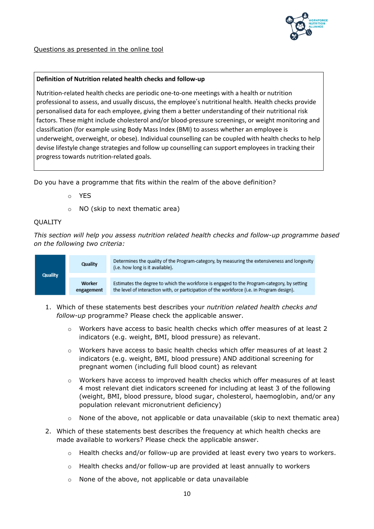

### **Definition of Nutrition related health checks and follow-up**

Nutrition-related health checks are periodic one-to-one meetings with a health or nutrition professional to assess, and usually discuss, the employee's nutritional health. Health checks provide personalised data for each employee, giving them a better understanding of their nutritional risk factors. These might include cholesterol and/or blood-pressure screenings, or weight monitoring and classification (for example using Body Mass Index (BMI) to assess whether an employee is underweight, overweight, or obese). Individual counselling can be coupled with health checks to help devise lifestyle change strategies and follow up counselling can support employees in tracking their progress towards nutrition-related goals.

Do you have a programme that fits within the realm of the above definition?

- o YES
- o NO (skip to next thematic area)

## **OUALITY**

*This section will help you assess nutrition related health checks and follow-up programme based on the following two criteria:*



- 1. Which of these statements best describes your *nutrition related health checks and follow-up* programme? Please check the applicable answer.
	- $\circ$  Workers have access to basic health checks which offer measures of at least 2 indicators (e.g. weight, BMI, blood pressure) as relevant.
	- $\circ$  Workers have access to basic health checks which offer measures of at least 2 indicators (e.g. weight, BMI, blood pressure) AND additional screening for pregnant women (including full blood count) as relevant
	- $\circ$  Workers have access to improved health checks which offer measures of at least 4 most relevant diet indicators screened for including at least 3 of the following (weight, BMI, blood pressure, blood sugar, cholesterol, haemoglobin, and/or any population relevant micronutrient deficiency)
	- $\circ$  None of the above, not applicable or data unavailable (skip to next thematic area)
- 2. Which of these statements best describes the frequency at which health checks are made available to workers? Please check the applicable answer.
	- $\circ$  Health checks and/or follow-up are provided at least every two vears to workers.
	- $\circ$  Health checks and/or follow-up are provided at least annually to workers
	- o None of the above, not applicable or data unavailable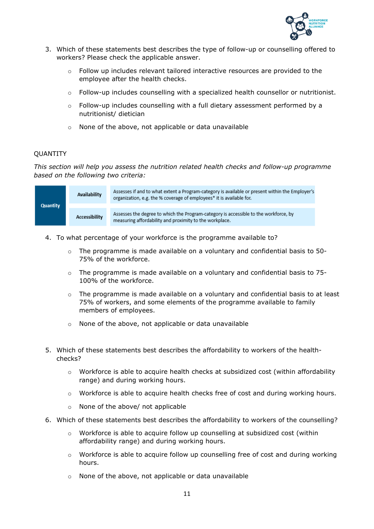

- 3. Which of these statements best describes the type of follow-up or counselling offered to workers? Please check the applicable answer.
	- $\circ$  Follow up includes relevant tailored interactive resources are provided to the employee after the health checks.
	- $\circ$  Follow-up includes counselling with a specialized health counsellor or nutritionist.
	- $\circ$  Follow-up includes counselling with a full dietary assessment performed by a nutritionist/ dietician
	- o None of the above, not applicable or data unavailable

### **OUANTITY**

*This section will help you assess the nutrition related health checks and follow-up programme based on the following two criteria:*

| <b>Quantity</b> | Availability         | Assesses if and to what extent a Program-category is available or present within the Employer's<br>organization, e.g. the % coverage of employees* it is available for. |
|-----------------|----------------------|-------------------------------------------------------------------------------------------------------------------------------------------------------------------------|
|                 | <b>Accessibility</b> | Assesses the degree to which the Program-category is accessible to the workforce, by<br>measuring affordability and proximity to the workplace.                         |

- 4. To what percentage of your workforce is the programme available to?
	- $\circ$  The programme is made available on a voluntary and confidential basis to 50-75% of the workforce.
	- $\circ$  The programme is made available on a voluntary and confidential basis to 75-100% of the workforce.
	- $\circ$  The programme is made available on a voluntary and confidential basis to at least 75% of workers, and some elements of the programme available to family members of employees.
	- o None of the above, not applicable or data unavailable
- 5. Which of these statements best describes the affordability to workers of the healthchecks?
	- $\circ$  Workforce is able to acquire health checks at subsidized cost (within affordability range) and during working hours.
	- $\circ$  Workforce is able to acquire health checks free of cost and during working hours.
	- o None of the above/ not applicable
- 6. Which of these statements best describes the affordability to workers of the counselling?
	- o Workforce is able to acquire follow up counselling at subsidized cost (within affordability range) and during working hours.
	- $\circ$  Workforce is able to acquire follow up counselling free of cost and during working hours.
	- o None of the above, not applicable or data unavailable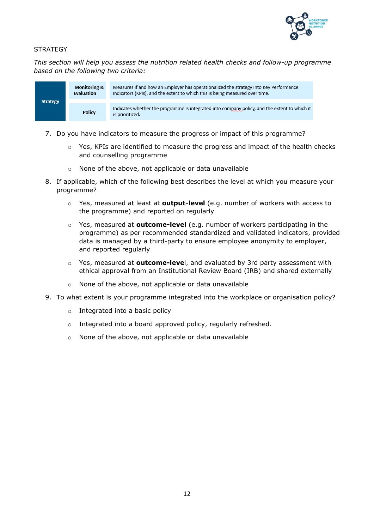

## **STRATEGY**

*This section will help you assess the nutrition related health checks and follow-up programme based on the following two criteria:*



- 7. Do you have indicators to measure the progress or impact of this programme?
	- $\circ$  Yes, KPIs are identified to measure the progress and impact of the health checks and counselling programme
	- None of the above, not applicable or data unavailable
- 8. If applicable, which of the following best describes the level at which you measure your programme?
	- o Yes, measured at least at **output-level** (e.g. number of workers with access to the programme) and reported on regularly
	- o Yes, measured at **outcome-level** (e.g. number of workers participating in the programme) as per recommended standardized and validated indicators, provided data is managed by a third-party to ensure employee anonymity to employer, and reported regularly
	- o Yes, measured at **outcome-leve**l, and evaluated by 3rd party assessment with ethical approval from an Institutional Review Board (IRB) and shared externally
	- o None of the above, not applicable or data unavailable
- 9. To what extent is your programme integrated into the workplace or organisation policy?
	- o Integrated into a basic policy
	- o Integrated into a board approved policy, regularly refreshed.
	- o None of the above, not applicable or data unavailable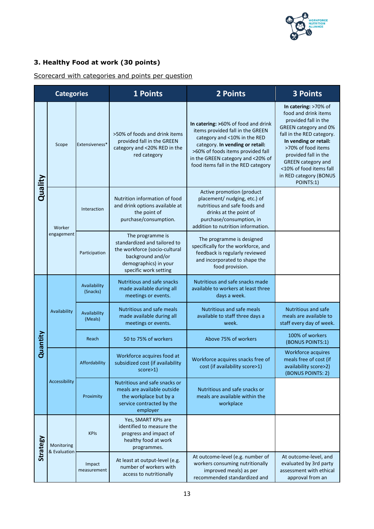

## **3. Healthy Food at work (30 points)**

## Scorecard with categories and points per question

| <b>Categories</b> |                            |                          | 1 Points                                                                                                                                                 | 2 Points                                                                                                                                                                                                                                                    | <b>3 Points</b>                                                                                                                                                                                                                                                                                  |
|-------------------|----------------------------|--------------------------|----------------------------------------------------------------------------------------------------------------------------------------------------------|-------------------------------------------------------------------------------------------------------------------------------------------------------------------------------------------------------------------------------------------------------------|--------------------------------------------------------------------------------------------------------------------------------------------------------------------------------------------------------------------------------------------------------------------------------------------------|
|                   | Scope                      | Extensiveness*           | >50% of foods and drink items<br>provided fall in the GREEN<br>category and <20% RED in the<br>red category                                              | In catering: >60% of food and drink<br>items provided fall in the GREEN<br>category and <10% in the RED<br>category. In vending or retail:<br>>60% of foods items provided fall<br>in the GREEN category and <20% of<br>food items fall in the RED category | In catering: >70% of<br>food and drink items<br>provided fall in the<br>GREEN category and 0%<br>fall in the RED category.<br>In vending or retail:<br>>70% of food items<br>provided fall in the<br><b>GREEN</b> category and<br><10% of food items fall<br>in RED category (BONUS<br>POINTS:1) |
| Quality           | Worker                     | Interaction              | Nutrition information of food<br>and drink options available at<br>the point of<br>purchase/consumption.                                                 | Active promotion (product<br>placement/ nudging, etc.) of<br>nutritious and safe foods and<br>drinks at the point of<br>purchase/consumption, in<br>addition to nutrition information.                                                                      |                                                                                                                                                                                                                                                                                                  |
|                   | engagement                 | Participation            | The programme is<br>standardized and tailored to<br>the workforce (socio-cultural<br>background and/or<br>demographics) in your<br>specific work setting | The programme is designed<br>specifically for the workforce, and<br>feedback is regularly reviewed<br>and incorporated to shape the<br>food provision.                                                                                                      |                                                                                                                                                                                                                                                                                                  |
|                   | Availability               | Availability<br>(Snacks) | Nutritious and safe snacks<br>made available during all<br>meetings or events.                                                                           | Nutritious and safe snacks made<br>available to workers at least three<br>days a week.                                                                                                                                                                      |                                                                                                                                                                                                                                                                                                  |
|                   |                            | Availability<br>(Meals)  | Nutritious and safe meals<br>made available during all<br>meetings or events.                                                                            | <b>Nutritious and safe meals</b><br>available to staff three days a<br>week.                                                                                                                                                                                | <b>Nutritious and safe</b><br>meals are available to<br>staff every day of week.                                                                                                                                                                                                                 |
| Quantity          |                            | Reach                    | 50 to 75% of workers                                                                                                                                     | Above 75% of workers                                                                                                                                                                                                                                        | 100% of workers<br>(BONUS POINTS:1)                                                                                                                                                                                                                                                              |
|                   |                            | Affordability            | Workforce acquires food at<br>subsidized cost (if availability<br>score>1)                                                                               | Workforce acquires snacks free of<br>cost (if availability score>1)                                                                                                                                                                                         | Workforce acquires<br>meals free of cost (if<br>availability score>2)<br>(BONUS POINTS: 2)                                                                                                                                                                                                       |
|                   | Accessibility              | Proximity                | Nutritious and safe snacks or<br>meals are available outside<br>the workplace but by a<br>service contracted by the<br>employer                          | Nutritious and safe snacks or<br>meals are available within the<br>workplace                                                                                                                                                                                |                                                                                                                                                                                                                                                                                                  |
| Strategy          | Monitoring<br>& Evaluation | <b>KPIs</b>              | Yes, SMART KPIs are<br>identified to measure the<br>progress and impact of<br>healthy food at work<br>programmes.                                        |                                                                                                                                                                                                                                                             |                                                                                                                                                                                                                                                                                                  |
|                   |                            | Impact<br>measurement    | At least at output-level (e.g.<br>number of workers with<br>access to nutritionally                                                                      | At outcome-level (e.g. number of<br>workers consuming nutritionally<br>improved meals) as per<br>recommended standardized and                                                                                                                               | At outcome-level, and<br>evaluated by 3rd party<br>assessment with ethical<br>approval from an                                                                                                                                                                                                   |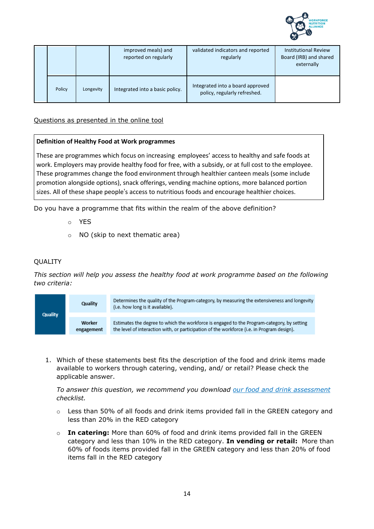

|        |           | improved meals) and<br>reported on regularly | validated indicators and reported<br>regularly                   | <b>Institutional Review</b><br>Board (IRB) and shared<br>externally |
|--------|-----------|----------------------------------------------|------------------------------------------------------------------|---------------------------------------------------------------------|
| Policy | Longevity | Integrated into a basic policy.              | Integrated into a board approved<br>policy, regularly refreshed. |                                                                     |

## Questions as presented in the online tool

## **Definition of Healthy Food at Work programmes**

These are programmes which focus on increasing employees' access to healthy and safe foods at work. Employers may provide healthy food for free, with a subsidy, or at full cost to the employee. These programmes change the food environment through healthier canteen meals (some include promotion alongside options), snack offerings, vending machine options, more balanced portion sizes. All of these shape people's access to nutritious foods and encourage healthier choices.

Do you have a programme that fits within the realm of the above definition?

- o YES
- o NO (skip to next thematic area)

### **OUALITY**

*This section will help you assess the healthy food at work programme based on the following two criteria:*



1. Which of these statements best fits the description of the food and drink items made available to workers through catering, vending, and/ or retail? Please check the applicable answer.

*To answer this question, we recommend you download our food and drink assessment checklist.*

- o Less than 50% of all foods and drink items provided fall in the GREEN category and less than 20% in the RED category
- o **In catering:** More than 60% of food and drink items provided fall in the GREEN category and less than 10% in the RED category. **In vending or retail:** More than 60% of foods items provided fall in the GREEN category and less than 20% of food items fall in the RED category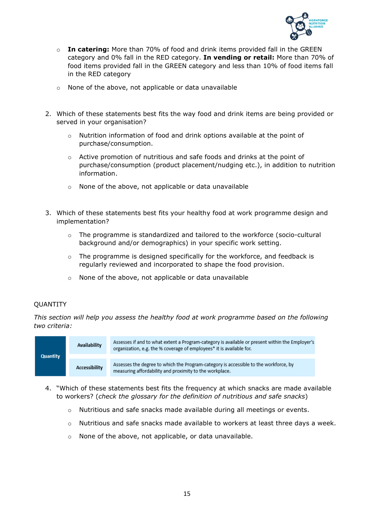

- o **In catering:** More than 70% of food and drink items provided fall in the GREEN category and 0% fall in the RED category. **In vending or retail:** More than 70% of food items provided fall in the GREEN category and less than 10% of food items fall in the RED category
- o None of the above, not applicable or data unavailable
- 2. Which of these statements best fits the way food and drink items are being provided or served in your organisation?
	- o Nutrition information of food and drink options available at the point of purchase/consumption.
	- $\circ$  Active promotion of nutritious and safe foods and drinks at the point of purchase/consumption (product placement/nudging etc.), in addition to nutrition information.
	- o None of the above, not applicable or data unavailable
- 3. Which of these statements best fits your healthy food at work programme design and implementation?
	- $\circ$  The programme is standardized and tailored to the workforce (socio-cultural background and/or demographics) in your specific work setting.
	- o The programme is designed specifically for the workforce, and feedback is regularly reviewed and incorporated to shape the food provision.
	- o None of the above, not applicable or data unavailable

#### QUANTITY

*This section will help you assess the healthy food at work programme based on the following two criteria:*



- 4. "Which of these statements best fits the frequency at which snacks are made available to workers? (*check the glossary for the definition of nutritious and safe snacks*)
	- o Nutritious and safe snacks made available during all meetings or events.
	- $\circ$  Nutritious and safe snacks made available to workers at least three days a week.
	- o None of the above, not applicable, or data unavailable.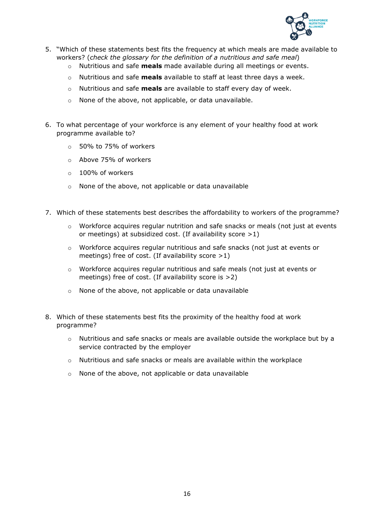

- 5. "Which of these statements best fits the frequency at which meals are made available to workers? (*check the glossary for the definition of a nutritious and safe meal*)
	- o Nutritious and safe **meals** made available during all meetings or events.
	- o Nutritious and safe **meals** available to staff at least three days a week.
	- o Nutritious and safe **meals** are available to staff every day of week.
	- o None of the above, not applicable, or data unavailable.
- 6. To what percentage of your workforce is any element of your healthy food at work programme available to?
	- o 50% to 75% of workers
	- o Above 75% of workers
	- o 100% of workers
	- o None of the above, not applicable or data unavailable
- 7. Which of these statements best describes the affordability to workers of the programme?
	- $\circ$  Workforce acquires regular nutrition and safe snacks or meals (not just at events or meetings) at subsidized cost. (If availability score >1)
	- o Workforce acquires regular nutritious and safe snacks (not just at events or meetings) free of cost. (If availability score  $>1$ )
	- o Workforce acquires regular nutritious and safe meals (not just at events or meetings) free of cost. (If availability score is >2)
	- o None of the above, not applicable or data unavailable
- 8. Which of these statements best fits the proximity of the healthy food at work programme?
	- o Nutritious and safe snacks or meals are available outside the workplace but by a service contracted by the employer
	- $\circ$  Nutritious and safe snacks or meals are available within the workplace
	- o None of the above, not applicable or data unavailable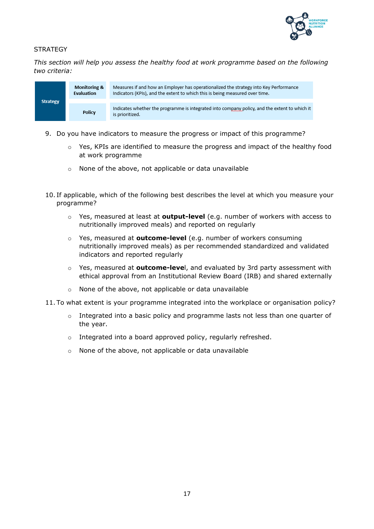

## **STRATEGY**

*This section will help you assess the healthy food at work programme based on the following two criteria:*



- 9. Do you have indicators to measure the progress or impact of this programme?
	- $\circ$  Yes, KPIs are identified to measure the progress and impact of the healthy food at work programme
	- o None of the above, not applicable or data unavailable
- 10. If applicable, which of the following best describes the level at which you measure your programme?
	- o Yes, measured at least at **output-level** (e.g. number of workers with access to nutritionally improved meals) and reported on regularly
	- o Yes, measured at **outcome-level** (e.g. number of workers consuming nutritionally improved meals) as per recommended standardized and validated indicators and reported regularly
	- o Yes, measured at **outcome-leve**l, and evaluated by 3rd party assessment with ethical approval from an Institutional Review Board (IRB) and shared externally
	- o None of the above, not applicable or data unavailable
- 11. To what extent is your programme integrated into the workplace or organisation policy?
	- $\circ$  Integrated into a basic policy and programme lasts not less than one quarter of the year.
	- o Integrated into a board approved policy, regularly refreshed.
	- o None of the above, not applicable or data unavailable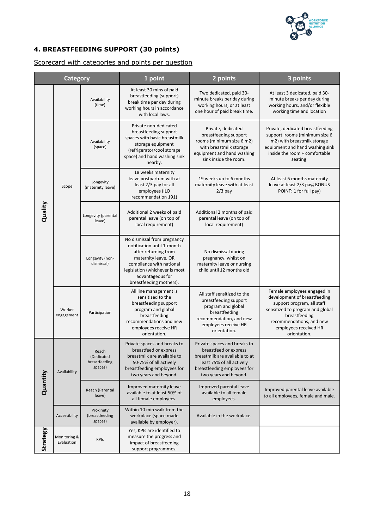

## **4. BREASTFEEDING SUPPORT (30 points)**

### Scorecard with categories and points per question

| Category |                                                                 |                                        | 1 point                                                                                                                                                                                                               | 2 points                                                                                                                                                                     | 3 points                                                                                                                                                                                                            |
|----------|-----------------------------------------------------------------|----------------------------------------|-----------------------------------------------------------------------------------------------------------------------------------------------------------------------------------------------------------------------|------------------------------------------------------------------------------------------------------------------------------------------------------------------------------|---------------------------------------------------------------------------------------------------------------------------------------------------------------------------------------------------------------------|
|          |                                                                 | Availability<br>(time)                 | At least 30 mins of paid<br>breastfeeding (support)<br>break time per day during<br>working hours in accordance<br>with local laws.                                                                                   | Two dedicated, paid 30-<br>minute breaks per day during<br>working hours, or at least<br>one hour of paid break time.                                                        | At least 3 dedicated, paid 30-<br>minute breaks per day during<br>working hours, and/or flexible<br>working time and location                                                                                       |
|          |                                                                 | Availability<br>(space)                | Private non-dedicated<br>breastfeeding support<br>spaces with basic breastmilk<br>storage equipment<br>(refrigerator/cool storage<br>space) and hand washing sink<br>nearby.                                          | Private, dedicated<br>breastfeeding support<br>rooms (minimum size 6 m2)<br>with breastmilk storage<br>equipment and hand washing<br>sink inside the room.                   | Private, dedicated breastfeeding<br>support rooms (minimum size 6<br>m2) with breastmilk storage<br>equipment and hand washing sink<br>inside the room + comfortable<br>seating                                     |
|          | Scope                                                           | Longevity<br>(maternity leave)         | 18 weeks maternity<br>leave postpartum with at<br>least 2/3 pay for all<br>employees (ILO<br>recommendation 191)                                                                                                      | 19 weeks up to 6 months<br>maternity leave with at least<br>$2/3$ pay                                                                                                        | At least 6 months maternity<br>leave at least 2/3 pay(BONUS<br>POINT: 1 for full pay)                                                                                                                               |
| Quality  |                                                                 | Longevity (parental<br>leave)          | Additional 2 weeks of paid<br>parental leave (on top of<br>local requirement)                                                                                                                                         | Additional 2 months of paid<br>parental leave (on top of<br>local requirement)                                                                                               |                                                                                                                                                                                                                     |
|          | Longevity (non-<br>dismissal)                                   |                                        | No dismissal from pregnancy<br>notification until 1-month<br>after returning from<br>maternity leave, OR<br>compliance with national<br>legislation (whichever is most<br>advantageous for<br>breastfeeding mothers). | No dismissal during<br>pregnancy, whilst on<br>maternity leave or nursing<br>child until 12 months old                                                                       |                                                                                                                                                                                                                     |
|          | Worker<br>engagement                                            | Participation                          | All line management is<br>sensitized to the<br>breastfeeding support<br>program and global<br>breastfeeding<br>recommendations and new<br>employees receive HR<br>orientation.                                        | All staff sensitized to the<br>breastfeeding support<br>program and global<br>breastfeeding<br>recommendation, and new<br>employees receive HR<br>orientation.               | Female employees engaged in<br>development of breastfeeding<br>support program, all staff<br>sensitized to program and global<br>breastfeeding<br>recommendations, and new<br>employees received HR<br>orientation. |
| Quantity | Reach<br>(Dedicated<br>breastfeeding<br>spaces)<br>Availability |                                        | Private spaces and breaks to<br>breastfeed or express<br>breastmilk are available to<br>50-75% of all actively<br>breastfeeding employees for<br>two years and beyond.                                                | Private spaces and breaks to<br>breastfeed or express<br>breastmilk are available to at<br>least 75% of all actively<br>breastfeeding employees for<br>two years and beyond. |                                                                                                                                                                                                                     |
|          |                                                                 | Reach (Parental<br>leave)              | Improved maternity leave<br>available to at least 50% of<br>all female employees.                                                                                                                                     | Improved parental leave<br>available to all female<br>employees.                                                                                                             | Improved parental leave available<br>to all employees, female and male.                                                                                                                                             |
|          | Accessibility                                                   | Proximity<br>(breastfeeding<br>spaces) | Within 10 min walk from the<br>workplace (space made<br>available by employer).                                                                                                                                       | Available in the workplace.                                                                                                                                                  |                                                                                                                                                                                                                     |
| Strategy | Monitoring &<br>Evaluation                                      | <b>KPIs</b>                            | Yes, KPIs are identified to<br>measure the progress and<br>impact of breastfeeding<br>support programmes.                                                                                                             |                                                                                                                                                                              |                                                                                                                                                                                                                     |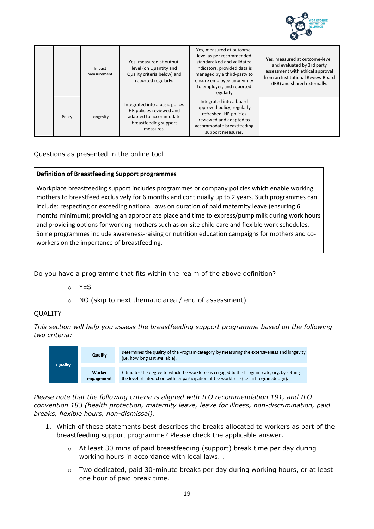

|        | Impact<br>measurement | Yes, measured at output-<br>level (on Quantity and<br>Quality criteria below) and<br>reported regularly.                    | Yes, measured at outcome-<br>level as per recommended<br>standardized and validated<br>indicators, provided data is<br>managed by a third-party to<br>ensure employee anonymity<br>to employer, and reported<br>regularly. | Yes, measured at outcome-level,<br>and evaluated by 3rd party<br>assessment with ethical approval<br>from an Institutional Review Board<br>(IRB) and shared externally. |
|--------|-----------------------|-----------------------------------------------------------------------------------------------------------------------------|----------------------------------------------------------------------------------------------------------------------------------------------------------------------------------------------------------------------------|-------------------------------------------------------------------------------------------------------------------------------------------------------------------------|
| Policy | Longevity             | Integrated into a basic policy.<br>HR policies reviewed and<br>adapted to accommodate<br>breastfeeding support<br>measures. | Integrated into a board<br>approved policy, regularly<br>refreshed. HR policies<br>reviewed and adapted to<br>accommodate breastfeeding<br>support measures.                                                               |                                                                                                                                                                         |

## Questions as presented in the online tool

### **Definition of Breastfeeding Support programmes**

Workplace breastfeeding support includes programmes or company policies which enable working mothers to breastfeed exclusively for 6 months and continually up to 2 years. Such programmes can include: respecting or exceeding national laws on duration of paid maternity leave (ensuring 6 months minimum); providing an appropriate place and time to express/pump milk during work hours and providing options for working mothers such as on-site child care and flexible work schedules. Some programmes include awareness-raising or nutrition education campaigns for mothers and coworkers on the importance of breastfeeding.

Do you have a programme that fits within the realm of the above definition?

- o YES
- o NO (skip to next thematic area / end of assessment)

#### **OUALITY**

*This section will help you assess the breastfeeding support programme based on the following two criteria:*



*Please note that the following criteria is aligned with ILO recommendation 191, and ILO convention 183 (health protection, maternity leave, leave for illness, non-discrimination, paid breaks, flexible hours, non-dismissal).*

- 1. Which of these statements best describes the breaks allocated to workers as part of the breastfeeding support programme? Please check the applicable answer.
	- o At least 30 mins of paid breastfeeding (support) break time per day during working hours in accordance with local laws. .
	- $\circ$  Two dedicated, paid 30-minute breaks per day during working hours, or at least one hour of paid break time.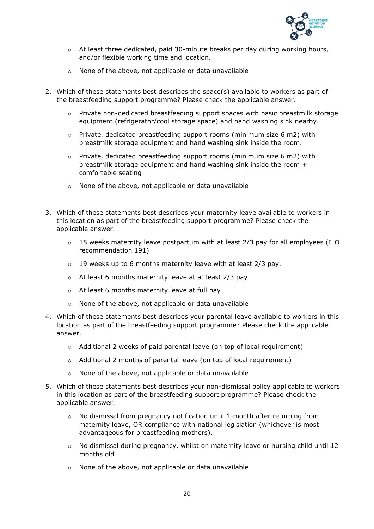

- o At least three dedicated, paid 30-minute breaks per day during working hours, and/or flexible working time and location.
- o None of the above, not applicable or data unavailable
- 2. Which of these statements best describes the space(s) available to workers as part of the breastfeeding support programme? Please check the applicable answer.
	- o Private non-dedicated breastfeeding support spaces with basic breastmilk storage equipment (refrigerator/cool storage space) and hand washing sink nearby.
	- $\circ$  Private, dedicated breastfeeding support rooms (minimum size 6 m2) with breastmilk storage equipment and hand washing sink inside the room.
	- $\circ$  Private, dedicated breastfeeding support rooms (minimum size 6 m2) with breastmilk storage equipment and hand washing sink inside the room + comfortable seating
	- o None of the above, not applicable or data unavailable
- 3. Which of these statements best describes your maternity leave available to workers in this location as part of the breastfeeding support programme? Please check the applicable answer.
	- $\circ$  18 weeks maternity leave postpartum with at least 2/3 pay for all employees (ILO recommendation 191)
	- $\circ$  19 weeks up to 6 months maternity leave with at least 2/3 pay.
	- o At least 6 months maternity leave at at least 2/3 pay
	- o At least 6 months maternity leave at full pay
	- o None of the above, not applicable or data unavailable
- 4. Which of these statements best describes your parental leave available to workers in this location as part of the breastfeeding support programme? Please check the applicable answer.
	- o Additional 2 weeks of paid parental leave (on top of local requirement)
	- o Additional 2 months of parental leave (on top of local requirement)
	- o None of the above, not applicable or data unavailable
- 5. Which of these statements best describes your non-dismissal policy applicable to workers in this location as part of the breastfeeding support programme? Please check the applicable answer.
	- $\circ$  No dismissal from pregnancy notification until 1-month after returning from maternity leave, OR compliance with national legislation (whichever is most advantageous for breastfeeding mothers).
	- o No dismissal during pregnancy, whilst on maternity leave or nursing child until 12 months old
	- o None of the above, not applicable or data unavailable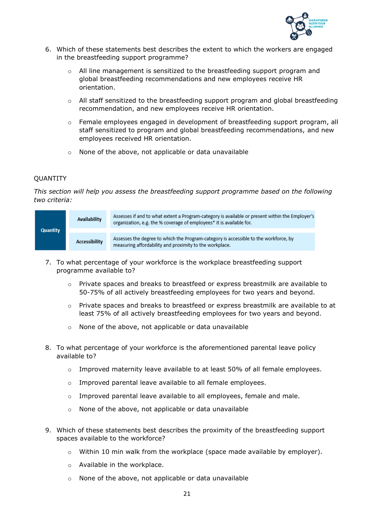

- 6. Which of these statements best describes the extent to which the workers are engaged in the breastfeeding support programme?
	- $\circ$  All line management is sensitized to the breastfeeding support program and global breastfeeding recommendations and new employees receive HR orientation.
	- $\circ$  All staff sensitized to the breastfeeding support program and global breastfeeding recommendation, and new employees receive HR orientation.
	- o Female employees engaged in development of breastfeeding support program, all staff sensitized to program and global breastfeeding recommendations, and new employees received HR orientation.
	- o None of the above, not applicable or data unavailable

### QUANTITY

*This section will help you assess the breastfeeding support programme based on the following two criteria:*

| <b>Quantity</b> | Assesses if and to what extent a Program-category is available or present within the Employer's<br>Availability<br>organization, e.g. the % coverage of employees* it is available for. |                                                                                                                                                 |
|-----------------|-----------------------------------------------------------------------------------------------------------------------------------------------------------------------------------------|-------------------------------------------------------------------------------------------------------------------------------------------------|
|                 | Accessibility                                                                                                                                                                           | Assesses the degree to which the Program-category is accessible to the workforce, by<br>measuring affordability and proximity to the workplace. |

- 7. To what percentage of your workforce is the workplace breastfeeding support programme available to?
	- $\circ$  Private spaces and breaks to breastfeed or express breastmilk are available to 50-75% of all actively breastfeeding employees for two years and beyond.
	- o Private spaces and breaks to breastfeed or express breastmilk are available to at least 75% of all actively breastfeeding employees for two years and beyond.
	- o None of the above, not applicable or data unavailable
- 8. To what percentage of your workforce is the aforementioned parental leave policy available to?
	- $\circ$  Improved maternity leave available to at least 50% of all female employees.
	- o Improved parental leave available to all female employees.
	- o Improved parental leave available to all employees, female and male.
	- o None of the above, not applicable or data unavailable
- 9. Which of these statements best describes the proximity of the breastfeeding support spaces available to the workforce?
	- $\circ$  Within 10 min walk from the workplace (space made available by employer).
	- o Available in the workplace.
	- o None of the above, not applicable or data unavailable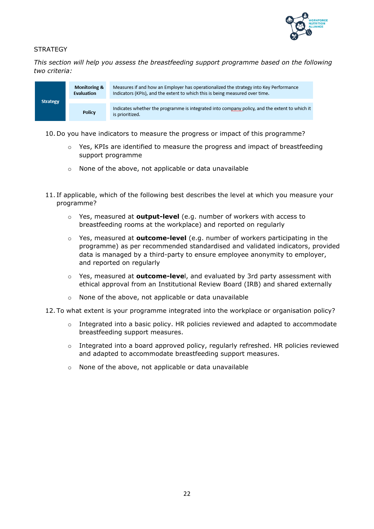

## **STRATEGY**

*This section will help you assess the breastfeeding support programme based on the following two criteria:*



- 10. Do you have indicators to measure the progress or impact of this programme?
	- $\circ$  Yes, KPIs are identified to measure the progress and impact of breastfeeding support programme
	- o None of the above, not applicable or data unavailable
- 11. If applicable, which of the following best describes the level at which you measure your programme?
	- Yes, measured at **output-level** (e.g. number of workers with access to breastfeeding rooms at the workplace) and reported on regularly
	- o Yes, measured at **outcome-level** (e.g. number of workers participating in the programme) as per recommended standardised and validated indicators, provided data is managed by a third-party to ensure employee anonymity to employer, and reported on regularly
	- o Yes, measured at **outcome-leve**l, and evaluated by 3rd party assessment with ethical approval from an Institutional Review Board (IRB) and shared externally
	- o None of the above, not applicable or data unavailable
- 12. To what extent is your programme integrated into the workplace or organisation policy?
	- $\circ$  Integrated into a basic policy. HR policies reviewed and adapted to accommodate breastfeeding support measures.
	- $\circ$  Integrated into a board approved policy, regularly refreshed. HR policies reviewed and adapted to accommodate breastfeeding support measures.
	- o None of the above, not applicable or data unavailable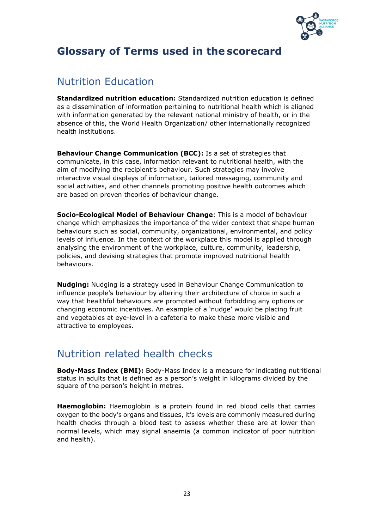

## **Glossary of Terms used in the scorecard**

## Nutrition Education

**Standardized nutrition education:** Standardized nutrition education is defined as a dissemination of information pertaining to nutritional health which is aligned with information generated by the relevant national ministry of health, or in the absence of this, the World Health Organization/ other internationally recognized health institutions.

**Behaviour Change Communication (BCC):** Is a set of strategies that communicate, in this case, information relevant to nutritional health, with the aim of modifying the recipient's behaviour. Such strategies may involve interactive visual displays of information, tailored messaging, community and social activities, and other channels promoting positive health outcomes which are based on proven theories of behaviour change.

**Socio-Ecological Model of Behaviour Change**: This is a model of behaviour change which emphasizes the importance of the wider context that shape human behaviours such as social, community, organizational, environmental, and policy levels of influence. In the context of the workplace this model is applied through analysing the environment of the workplace, culture, community, leadership, policies, and devising strategies that promote improved nutritional health behaviours.

**Nudging:** Nudging is a strategy used in Behaviour Change Communication to influence people's behaviour by altering their architecture of choice in such a way that healthful behaviours are prompted without forbidding any options or changing economic incentives. An example of a 'nudge' would be placing fruit and vegetables at eye-level in a cafeteria to make these more visible and attractive to employees.

## Nutrition related health checks

**Body-Mass Index (BMI):** Body-Mass Index is a measure for indicating nutritional status in adults that is defined as a person's weight in kilograms divided by the square of the person's height in metres.

**Haemoglobin:** Haemoglobin is a protein found in red blood cells that carries oxygen to the body's organs and tissues, it's levels are commonly measured during health checks through a blood test to assess whether these are at lower than normal levels, which may signal anaemia (a common indicator of poor nutrition and health).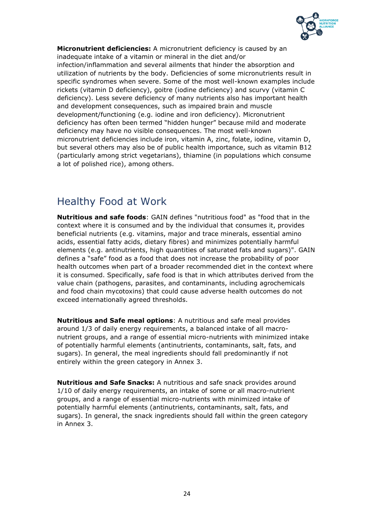

**Micronutrient deficiencies:** A micronutrient deficiency is caused by an inadequate intake of a vitamin or mineral in the diet and/or infection/inflammation and several ailments that hinder the absorption and utilization of nutrients by the body. Deficiencies of some micronutrients result in specific syndromes when severe. Some of the most well-known examples include rickets (vitamin D deficiency), goitre (iodine deficiency) and scurvy (vitamin C deficiency). Less severe deficiency of many nutrients also has important health and development consequences, such as impaired brain and muscle development/functioning (e.g. iodine and iron deficiency). Micronutrient deficiency has often been termed "hidden hunger" because mild and moderate deficiency may have no visible consequences. The most well-known micronutrient deficiencies include iron, vitamin A, zinc, folate, iodine, vitamin D, but several others may also be of public health importance, such as vitamin B12 (particularly among strict vegetarians), thiamine (in populations which consume a lot of polished rice), among others.

## Healthy Food at Work

**Nutritious and safe foods**: GAIN defines "nutritious food" as "food that in the context where it is consumed and by the individual that consumes it, provides beneficial nutrients (e.g. vitamins, major and trace minerals, essential amino acids, essential fatty acids, dietary fibres) and minimizes potentially harmful elements (e.g. antinutrients, high quantities of saturated fats and sugars)". GAIN defines a "safe" food as a food that does not increase the probability of poor health outcomes when part of a broader recommended diet in the context where it is consumed. Specifically, safe food is that in which attributes derived from the value chain (pathogens, parasites, and contaminants, including agrochemicals and food chain mycotoxins) that could cause adverse health outcomes do not exceed internationally agreed thresholds.

**Nutritious and Safe meal options**: A nutritious and safe meal provides around 1/3 of daily energy requirements, a balanced intake of all macronutrient groups, and a range of essential micro-nutrients with minimized intake of potentially harmful elements (antinutrients, contaminants, salt, fats, and sugars). In general, the meal ingredients should fall predominantly if not entirely within the green category in Annex 3.

**Nutritious and Safe Snacks:** A nutritious and safe snack provides around 1/10 of daily energy requirements, an intake of some or all macro-nutrient groups, and a range of essential micro-nutrients with minimized intake of potentially harmful elements (antinutrients, contaminants, salt, fats, and sugars). In general, the snack ingredients should fall within the green category in Annex 3.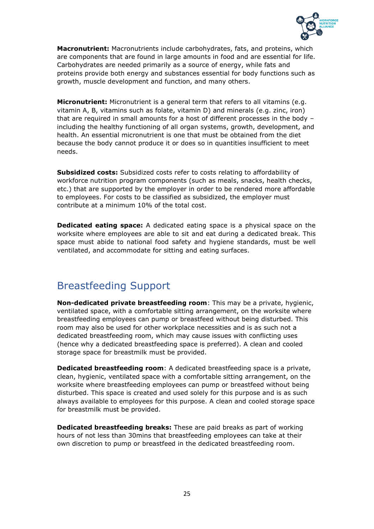

**Macronutrient:** Macronutrients include carbohydrates, fats, and proteins, which are components that are found in large amounts in food and are essential for life. Carbohydrates are needed primarily as a source of energy, while fats and proteins provide both energy and substances essential for body functions such as growth, muscle development and function, and many others.

**Micronutrient:** Micronutrient is a general term that refers to all vitamins (e.g. vitamin A, B, vitamins such as folate, vitamin D) and minerals (e.g. zinc, iron) that are required in small amounts for a host of different processes in the body – including the healthy functioning of all organ systems, growth, development, and health. An essential micronutrient is one that must be obtained from the diet because the body cannot produce it or does so in quantities insufficient to meet needs.

**Subsidized costs:** Subsidized costs refer to costs relating to affordability of workforce nutrition program components (such as meals, snacks, health checks, etc.) that are supported by the employer in order to be rendered more affordable to employees. For costs to be classified as subsidized, the employer must contribute at a minimum 10% of the total cost.

**Dedicated eating space:** A dedicated eating space is a physical space on the worksite where employees are able to sit and eat during a dedicated break. This space must abide to national food safety and hygiene standards, must be well ventilated, and accommodate for sitting and eating surfaces.

## Breastfeeding Support

**Non-dedicated private breastfeeding room**: This may be a private, hygienic, ventilated space, with a comfortable sitting arrangement, on the worksite where breastfeeding employees can pump or breastfeed without being disturbed. This room may also be used for other workplace necessities and is as such not a dedicated breastfeeding room, which may cause issues with conflicting uses (hence why a dedicated breastfeeding space is preferred). A clean and cooled storage space for breastmilk must be provided.

**Dedicated breastfeeding room**: A dedicated breastfeeding space is a private, clean, hygienic, ventilated space with a comfortable sitting arrangement, on the worksite where breastfeeding employees can pump or breastfeed without being disturbed. This space is created and used solely for this purpose and is as such always available to employees for this purpose. A clean and cooled storage space for breastmilk must be provided.

**Dedicated breastfeeding breaks:** These are paid breaks as part of working hours of not less than 30mins that breastfeeding employees can take at their own discretion to pump or breastfeed in the dedicated breastfeeding room.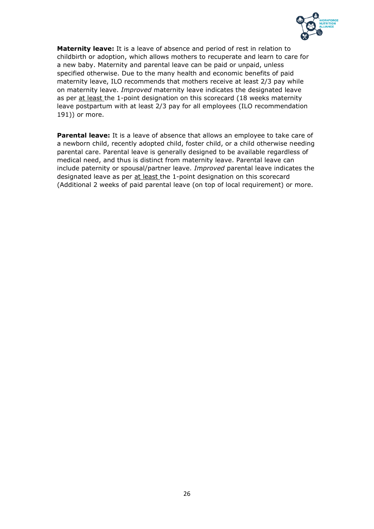

**Maternity leave:** It is a leave of absence and period of rest in relation to childbirth or adoption, which allows mothers to recuperate and learn to care for a new baby. Maternity and parental leave can be paid or unpaid, unless specified otherwise. Due to the many health and economic benefits of paid maternity leave, ILO recommends that mothers receive at least 2/3 pay while on maternity leave. *Improved* maternity leave indicates the designated leave as per at least the 1-point designation on this scorecard (18 weeks maternity leave postpartum with at least 2/3 pay for all employees (ILO recommendation 191)) or more.

**Parental leave:** It is a leave of absence that allows an employee to take care of a newborn child, recently adopted child, foster child, or a child otherwise needing parental care. Parental leave is generally designed to be available regardless of medical need, and thus is distinct from maternity leave. Parental leave can include paternity or spousal/partner leave. *Improved* parental leave indicates the designated leave as per at least the 1-point designation on this scorecard (Additional 2 weeks of paid parental leave (on top of local requirement) or more.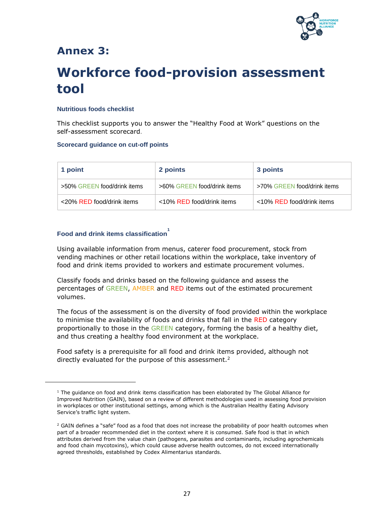

## **Annex 3:**

# **Workforce food-provision assessment tool**

#### **Nutritious foods checklist**

This checklist supports you to answer the "Healthy Food at Work" questions on the self-assessment scorecard.

#### **Scorecard guidance on cut-off points**

| 1 point                     | 2 points                    | 3 points                    |
|-----------------------------|-----------------------------|-----------------------------|
| >50% GREEN food/drink items | >60% GREEN food/drink items | >70% GREEN food/drink items |
| <20% RED food/drink items   | <10% RED food/drink items   | <10% RED food/drink items   |

## **Food and drink items classification 1**

Using available information from menus, caterer food procurement, stock from vending machines or other retail locations within the workplace, take inventory of food and drink items provided to workers and estimate procurement volumes.

Classify foods and drinks based on the following guidance and assess the percentages of GREEN, AMBER and RED items out of the estimated procurement volumes.

The focus of the assessment is on the diversity of food provided within the workplace to minimise the availability of foods and drinks that fall in the RED category proportionally to those in the GREEN category, forming the basis of a healthy diet, and thus creating a healthy food environment at the workplace.

Food safety is a prerequisite for all food and drink items provided, although not directly evaluated for the purpose of this assessment.<sup>2</sup>

 $1$  The guidance on food and drink items classification has been elaborated by The Global Alliance for Improved Nutrition (GAIN), based on a review of different methodologies used in assessing food provision in workplaces or other institutional settings, among which is the Australian [Healthy Eating Advisory](https://heas.health.vic.gov.au/sites/default/files/HEAS-traffic-light-system.pdf)  [Service](https://heas.health.vic.gov.au/sites/default/files/HEAS-traffic-light-system.pdf)'s traffic light system.

<sup>&</sup>lt;sup>2</sup> GAIN defines a "safe" food as a food that does not increase the probability of poor health outcomes when part of a broader recommended diet in the context where it is consumed. Safe food is that in which attributes derived from the value chain (pathogens, parasites and contaminants, including agrochemicals and food chain mycotoxins), which could cause adverse health outcomes, do not exceed internationally agreed thresholds, established by Codex Alimentarius standards.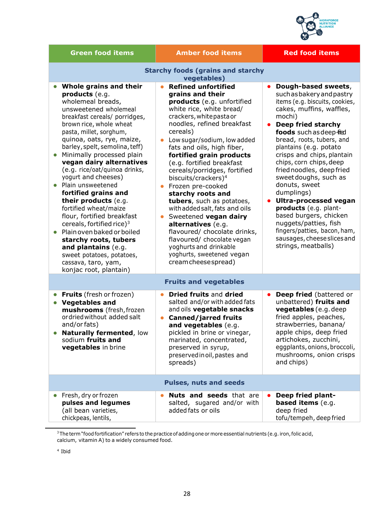

| <b>Green food items</b>                                                                                                                                                                                                                                                                                                                                                                                                                                                                                                                                                                                                                                                                                      | <b>Amber food items</b>                                                                                                                                                                                                                                                                                                                                                                                                                                                                                                                                                                                                                                                      | <b>Red food items</b>                                                                                                                                                                                                                                                                                                                                                                                                                                                                                                                                                                         |  |  |  |
|--------------------------------------------------------------------------------------------------------------------------------------------------------------------------------------------------------------------------------------------------------------------------------------------------------------------------------------------------------------------------------------------------------------------------------------------------------------------------------------------------------------------------------------------------------------------------------------------------------------------------------------------------------------------------------------------------------------|------------------------------------------------------------------------------------------------------------------------------------------------------------------------------------------------------------------------------------------------------------------------------------------------------------------------------------------------------------------------------------------------------------------------------------------------------------------------------------------------------------------------------------------------------------------------------------------------------------------------------------------------------------------------------|-----------------------------------------------------------------------------------------------------------------------------------------------------------------------------------------------------------------------------------------------------------------------------------------------------------------------------------------------------------------------------------------------------------------------------------------------------------------------------------------------------------------------------------------------------------------------------------------------|--|--|--|
| <b>Starchy foods (grains and starchy</b><br>vegetables)                                                                                                                                                                                                                                                                                                                                                                                                                                                                                                                                                                                                                                                      |                                                                                                                                                                                                                                                                                                                                                                                                                                                                                                                                                                                                                                                                              |                                                                                                                                                                                                                                                                                                                                                                                                                                                                                                                                                                                               |  |  |  |
| Whole grains and their<br>products (e.g.<br>wholemeal breads,<br>unsweetened wholemeal<br>breakfast cereals/ porridges,<br>brown rice, whole wheat<br>pasta, millet, sorghum,<br>quinoa, oats, rye, maize,<br>barley, spelt, semolina, teff)<br>Minimally processed plain<br>vegan dairy alternatives<br>(e.g. rice/oat/quinoa drinks,<br>yogurt and cheeses)<br>Plain unsweetened<br>$\bullet$<br>fortified grains and<br>their products (e.g.<br>fortified wheat/maize<br>flour, fortified breakfast<br>cereals, for tified rice) <sup>3</sup><br>Plain oven baked or boiled<br>starchy roots, tubers<br>and plantains (e.g.<br>sweet potatoes, potatoes,<br>cassava, taro, yam,<br>konjac root, plantain) | <b>Refined unfortified</b><br>grains and their<br>products (e.g. unfortified<br>white rice, white bread/<br>crackers, white pasta or<br>noodles, refined breakfast<br>cereals)<br>Low sugar/sodium, low added<br>fats and oils, high fiber,<br>fortified grain products<br>(e.g. fortified breakfast<br>cereals/porridges, fortified<br>biscuits/crackers) <sup>4</sup><br>Frozen pre-cooked<br>starchy roots and<br>tubers, such as potatoes,<br>with added salt, fats and oils<br>Sweetened vegan dairy<br>alternatives (e.g.<br>flavoured/ chocolate drinks,<br>flavoured/ chocolate vegan<br>yoghurts and drinkable<br>yoghurts, sweetened vegan<br>cream cheese spread) | Dough-based sweets,<br>such as bakery and pastry<br>items (e.g. biscuits, cookies,<br>cakes, muffins, waffles,<br>mochi)<br>Deep fried starchy<br>$\bullet$<br>foods such as deep-fied<br>bread, roots, tubers, and<br>plantains (e.g. potato<br>crisps and chips, plantain<br>chips, corn chips, deep<br>fried noodles, deep fried<br>sweet doughs, such as<br>donuts, sweet<br>dumplings)<br><b>Ultra-processed vegan</b><br>products (e.g. plant-<br>based burgers, chicken<br>nuggets/patties, fish<br>fingers/patties, bacon, ham,<br>sausages, cheese slices and<br>strings, meatballs) |  |  |  |
|                                                                                                                                                                                                                                                                                                                                                                                                                                                                                                                                                                                                                                                                                                              | <b>Fruits and vegetables</b>                                                                                                                                                                                                                                                                                                                                                                                                                                                                                                                                                                                                                                                 |                                                                                                                                                                                                                                                                                                                                                                                                                                                                                                                                                                                               |  |  |  |
| <b>Fruits</b> (fresh or frozen)<br><b>Vegetables and</b><br>$\bullet$<br>mushrooms (fresh, frozen<br>ordried without added salt<br>and/or fats)<br><b>Naturally fermented, low</b><br>sodium fruits and<br>vegetables in brine                                                                                                                                                                                                                                                                                                                                                                                                                                                                               | <b>Dried fruits and dried</b><br>salted and/or with added fats<br>and oils vegetable snacks<br><b>Canned/jarred fruits</b><br>and vegetables (e.g.<br>pickled in brine or vinegar,<br>marinated, concentrated,<br>preserved in syrup,<br>preserved in oil, pastes and<br>spreads)                                                                                                                                                                                                                                                                                                                                                                                            | <b>Deep fried</b> (battered or<br>$\bullet$<br>unbattered) fruits and<br>vegetables (e.g. deep<br>fried apples, peaches,<br>strawberries, banana/<br>apple chips, deep fried<br>artichokes, zucchini,<br>eggplants, onions, broccoli,<br>mushrooms, onion crisps<br>and chips)                                                                                                                                                                                                                                                                                                                |  |  |  |
|                                                                                                                                                                                                                                                                                                                                                                                                                                                                                                                                                                                                                                                                                                              | <b>Pulses, nuts and seeds</b>                                                                                                                                                                                                                                                                                                                                                                                                                                                                                                                                                                                                                                                |                                                                                                                                                                                                                                                                                                                                                                                                                                                                                                                                                                                               |  |  |  |
| Fresh, dry or frozen<br>pulses and legumes<br>(all bean varieties,<br>chickpeas, lentils,                                                                                                                                                                                                                                                                                                                                                                                                                                                                                                                                                                                                                    | <b>Nuts and seeds</b> that are<br>salted, sugared and/or with<br>added fats or oils                                                                                                                                                                                                                                                                                                                                                                                                                                                                                                                                                                                          | Deep fried plant-<br><b>based items</b> (e.g.<br>deep fried<br>tofu/tempeh, deep fried                                                                                                                                                                                                                                                                                                                                                                                                                                                                                                        |  |  |  |

 $^3$ The term "food fortification" refers to the practice of adding one or more essential nutrients (e.g. iron, folic acid, calcium, vitamin A) to a widely consumed food.

4 Ibid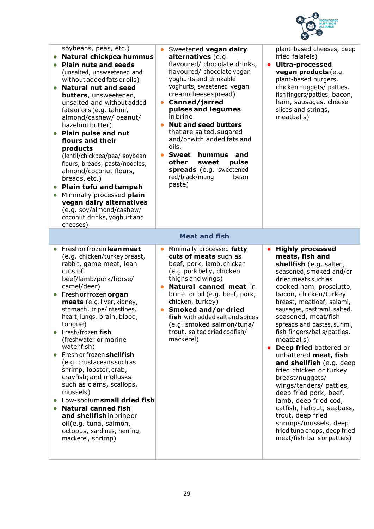

| soybeans, peas, etc.)<br>Natural chickpea hummus<br><b>Plain nuts and seeds</b><br>(unsalted, unsweetened and<br>without added fats or oils)<br><b>Natural nut and seed</b><br><b>butters</b> , unsweetened,<br>unsalted and without added<br>fats or oils (e.g. tahini,<br>almond/cashew/ peanut/<br>hazelnut butter)<br>Plain pulse and nut<br>flours and their<br>products<br>(lentil/chickpea/pea/ soybean<br>flours, breads, pasta/noodles,<br>almond/coconut flours,<br>breads, etc.)<br>Plain tofu and tempeh<br>Minimally processed plain<br>vegan dairy alternatives<br>(e.g. soy/almond/cashew/<br>coconut drinks, yoghurt and<br>cheeses)                                   | Sweetened vegan dairy<br>alternatives (e.g.<br>flavoured/ chocolate drinks,<br>flavoured/ chocolate vegan<br>yoghurts and drinkable<br>yoghurts, sweetened vegan<br>cream cheese spread)<br>Canned/jarred<br>pulses and legumes<br>in brine<br><b>Nut and seed butters</b><br>that are salted, sugared<br>and/or with added fats and<br>oils.<br><b>Sweet</b><br>hummus<br>and<br>other<br>sweet<br>pulse<br>spreads (e.g. sweetened<br>red/black/mung<br>bean<br>paste) | plant-based cheeses, deep<br>fried falafels)<br><b>Ultra-processed</b><br>$\bullet$<br>vegan products (e.g.<br>plant-based burgers,<br>chicken nuggets/ patties,<br>fish fingers/patties, bacon,<br>ham, sausages, cheese<br>slices and strings,<br>meatballs)                                                                                                                                                                                                                                                                                                                                                                                                                                   |
|----------------------------------------------------------------------------------------------------------------------------------------------------------------------------------------------------------------------------------------------------------------------------------------------------------------------------------------------------------------------------------------------------------------------------------------------------------------------------------------------------------------------------------------------------------------------------------------------------------------------------------------------------------------------------------------|--------------------------------------------------------------------------------------------------------------------------------------------------------------------------------------------------------------------------------------------------------------------------------------------------------------------------------------------------------------------------------------------------------------------------------------------------------------------------|--------------------------------------------------------------------------------------------------------------------------------------------------------------------------------------------------------------------------------------------------------------------------------------------------------------------------------------------------------------------------------------------------------------------------------------------------------------------------------------------------------------------------------------------------------------------------------------------------------------------------------------------------------------------------------------------------|
|                                                                                                                                                                                                                                                                                                                                                                                                                                                                                                                                                                                                                                                                                        | <b>Meat and fish</b>                                                                                                                                                                                                                                                                                                                                                                                                                                                     |                                                                                                                                                                                                                                                                                                                                                                                                                                                                                                                                                                                                                                                                                                  |
| Freshorfrozen lean meat<br>$\bullet$<br>(e.g. chicken/turkey breast,<br>rabbit, game meat, lean<br>cuts of<br>beef/lamb/pork/horse/<br>camel/deer)<br>Fresh or frozen organ<br>$\bullet$<br>meats (e.g.liver, kidney,<br>stomach, tripe/intestines,<br>heart, lungs, brain, blood,<br>tongue)<br>Fresh/frozen fish<br>(freshwater or marine<br>water fish)<br>Fresh or frozen shellfish<br>(e.g. crustaceans such as<br>shrimp, lobster, crab,<br>crayfish; and mollusks<br>such as clams, scallops,<br>mussels)<br>Low-sodiumsmall dried fish<br><b>Natural canned fish</b><br>and shellfish inbrineor<br>oil (e.g. tuna, salmon,<br>octopus, sardines, herring,<br>mackerel, shrimp) | Minimally processed fatty<br>$\bullet$<br>cuts of meats such as<br>beef, pork, lamb, chicken<br>(e.g. pork belly, chicken<br>thighs and wings)<br>Natural canned meat in<br>brine or oil (e.g. beef, pork,<br>chicken, turkey)<br>Smoked and/or dried<br>fish with added salt and spices<br>(e.g. smoked salmon/tuna/<br>trout, salted dried codfish/<br>mackerel)                                                                                                       | <b>Highly processed</b><br>meats, fish and<br>shellfish (e.g. salted,<br>seasoned, smoked and/or<br>dried meats such as<br>cooked ham, prosciutto,<br>bacon, chicken/turkey<br>breast, meatloaf, salami,<br>sausages, pastrami, salted,<br>seasoned, meat/fish<br>spreads and pastes, surimi,<br>fish fingers/balls/patties,<br>meatballs)<br>Deep fried battered or<br>unbattered meat, fish<br>and shellfish (e.g. deep<br>fried chicken or turkey<br>breast/nuggets/<br>wings/tenders/ patties,<br>deep fried pork, beef,<br>lamb, deep fried cod,<br>catfish, halibut, seabass,<br>trout, deep fried<br>shrimps/mussels, deep<br>fried tuna chops, deep fried<br>meat/fish-balls or patties) |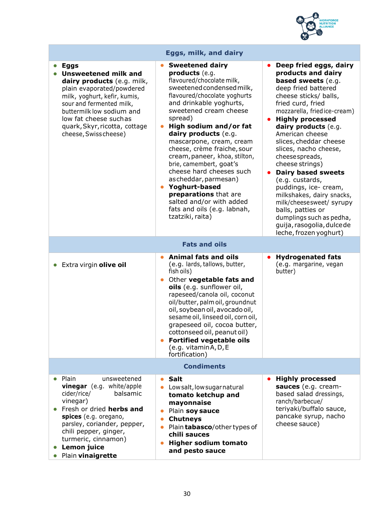

| Eggs, milk, and dairy                                                                                                                                                                                                                                                             |                                                                                                                                                                                                                                                                                                                                                                                                                                                                                                                                                          |                                                                                                                                                                                                                                                                                                                                                                                                                                                                                                                                                                                         |  |
|-----------------------------------------------------------------------------------------------------------------------------------------------------------------------------------------------------------------------------------------------------------------------------------|----------------------------------------------------------------------------------------------------------------------------------------------------------------------------------------------------------------------------------------------------------------------------------------------------------------------------------------------------------------------------------------------------------------------------------------------------------------------------------------------------------------------------------------------------------|-----------------------------------------------------------------------------------------------------------------------------------------------------------------------------------------------------------------------------------------------------------------------------------------------------------------------------------------------------------------------------------------------------------------------------------------------------------------------------------------------------------------------------------------------------------------------------------------|--|
| <b>Eggs</b><br><b>Unsweetened milk and</b><br>dairy products (e.g. milk,<br>plain evaporated/powdered<br>milk, yoghurt, kefir, kumis,<br>sour and fermented milk,<br>buttermilk low sodium and<br>low fat cheese suchas<br>quark, Skyr, ricotta, cottage<br>cheese, Swiss cheese) | <b>Sweetened dairy</b><br>products (e.g.<br>flavoured/chocolate milk,<br>sweetened condensed milk,<br>flavoured/chocolate yoghurts<br>and drinkable yoghurts,<br>sweetened cream cheese<br>spread)<br>High sodium and/or fat<br>dairy products (e.g.<br>mascarpone, cream, cream<br>cheese, crème fraiche, sour<br>cream, paneer, khoa, stilton,<br>brie, camembert, goat's<br>cheese hard cheeses such<br>ascheddar, parmesan)<br>Yoghurt-based<br>preparations that are<br>salted and/or with added<br>fats and oils (e.g. labnah,<br>tzatziki, raita) | Deep fried eggs, dairy<br>products and dairy<br><b>based sweets</b> (e.g.<br>deep fried battered<br>cheese sticks/ balls,<br>fried curd, fried<br>mozzarella, friedice-cream)<br><b>Highly processed</b><br>dairy products (e.g.<br>American cheese<br>slices, cheddar cheese<br>slices, nacho cheese,<br>cheese spreads,<br>cheese strings)<br><b>Dairy based sweets</b><br>(e.g. custards,<br>puddings, ice- cream,<br>milkshakes, dairy snacks,<br>milk/cheesesweet/ syrupy<br>balls, patties or<br>dumplings such as pedha,<br>guija, rasogolia, dulce de<br>leche, frozen yoghurt) |  |
| <b>Fats and oils</b>                                                                                                                                                                                                                                                              |                                                                                                                                                                                                                                                                                                                                                                                                                                                                                                                                                          |                                                                                                                                                                                                                                                                                                                                                                                                                                                                                                                                                                                         |  |
| Extra virgin olive oil<br>$\bullet$                                                                                                                                                                                                                                               | <b>Animal fats and oils</b><br>(e.g. lards, tallows, butter,<br>fish oils)<br>Other vegetable fats and<br>oils (e.g. sunflower oil,<br>rapeseed/canola oil, coconut<br>oil/butter, palm oil, groundnut<br>oil, soybean oil, avocado oil,<br>sesame oil, linseed oil, corn oil,<br>grapeseed oil, cocoa butter,<br>cottonseed oil, peanut oil)<br><b>Fortified vegetable oils</b><br>(e.g. vitaminA, D, E<br>fortification)                                                                                                                               | <b>Hydrogenated fats</b><br>(e.g. margarine, vegan<br>butter)                                                                                                                                                                                                                                                                                                                                                                                                                                                                                                                           |  |
| <b>Condiments</b>                                                                                                                                                                                                                                                                 |                                                                                                                                                                                                                                                                                                                                                                                                                                                                                                                                                          |                                                                                                                                                                                                                                                                                                                                                                                                                                                                                                                                                                                         |  |
| Plain<br>unsweetened<br>vinegar (e.g. white/apple<br>balsamic<br>cider/rice/<br>vinegar)<br>Fresh or dried herbs and<br>spices (e.g. oregano,<br>parsley, coriander, pepper,<br>chili pepper, ginger,<br>turmeric, cinnamon)<br>Lemon juice<br>Plain vinaigrette                  | <b>Salt</b><br>$\bullet$<br>Lowsalt, low sugarnatural<br>tomato ketchup and<br>mayonnaise<br>Plain soy sauce<br><b>Chutneys</b><br>$\bullet$<br>Plain <b>tabasco</b> /other types of<br>chili sauces<br><b>Higher sodium tomato</b><br>and pesto sauce                                                                                                                                                                                                                                                                                                   | <b>Highly processed</b><br>sauces (e.g. cream-<br>based salad dressings,<br>ranch/barbecue/<br>teriyaki/buffalo sauce,<br>pancake syrup, nacho<br>cheese sauce)                                                                                                                                                                                                                                                                                                                                                                                                                         |  |